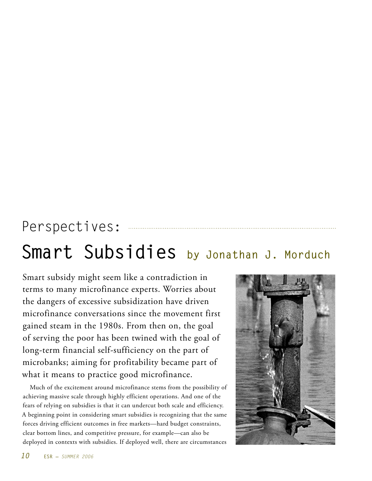# Perspectives:

# **Smart Subsidies by Jonathan J. Morduch**

Smart subsidy might seem like a contradiction in terms to many microfinance experts. Worries about the dangers of excessive subsidization have driven microfinance conversations since the movement first gained steam in the 1980s. From then on, the goal of serving the poor has been twined with the goal of long-term financial self-sufficiency on the part of microbanks; aiming for profitability became part of what it means to practice good microfinance.

Much of the excitement around microfinance stems from the possibility of achieving massive scale through highly efficient operations. And one of the fears of relying on subsidies is that it can undercut both scale and efficiency. A beginning point in considering smart subsidies is recognizing that the same forces driving efficient outcomes in free markets—hard budget constraints, clear bottom lines, and competitive pressure, for example—can also be deployed in contexts with subsidies. If deployed well, there are circumstances

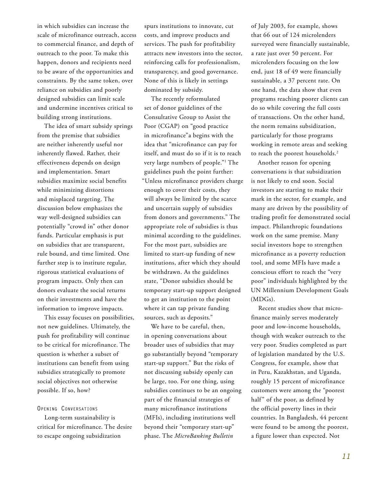in which subsidies can increase the scale of microfinance outreach, access to commercial finance, and depth of outreach to the poor. To make this happen, donors and recipients need to be aware of the opportunities and constraints. By the same token, over reliance on subsidies and poorly designed subsidies can limit scale and undermine incentives critical to building strong institutions.

The idea of smart subsidy springs from the premise that subsidies are neither inherently useful nor inherently flawed. Rather, their effectiveness depends on design and implementation. Smart subsidies maximize social benefits while minimizing distortions and misplaced targeting. The discussion below emphasizes the way well-designed subsidies can potentially "crowd in" other donor funds. Particular emphasis is put on subsidies that are transparent, rule bound, and time limited. One further step is to institute regular, rigorous statistical evaluations of program impacts. Only then can donors evaluate the social returns on their investments and have the information to improve impacts.

This essay focuses on possibilities, not new guidelines. Ultimately, the push for profitability will continue to be critical for microfinance. The question is whether a subset of institutions can benefit from using subsidies strategically to promote social objectives not otherwise possible. If so, how?

#### **Opening Conversations**

Long-term sustainability is critical for microfinance. The desire to escape ongoing subsidization

spurs institutions to innovate, cut costs, and improve products and services. The push for profitability attracts new investors into the sector, reinforcing calls for professionalism, transparency, and good governance. None of this is likely in settings dominated by subsidy.

The recently reformulated set of donor guidelines of the Consultative Group to Assist the Poor (CGAP) on "good practice in microfinance"a begins with the idea that "microfinance can pay for itself, and must do so if it is to reach very large numbers of people."1 The guidelines push the point further: "Unless microfinance providers charge enough to cover their costs, they will always be limited by the scarce and uncertain supply of subsidies from donors and governments." The appropriate role of subsidies is thus minimal according to the guidelines. For the most part, subsidies are limited to start-up funding of new institutions, after which they should be withdrawn. As the guidelines state, "Donor subsidies should be temporary start-up support designed to get an institution to the point where it can tap private funding sources, such as deposits."

We have to be careful, then, in opening conversations about broader uses of subsidies that may go substantially beyond "temporary start-up support." But the risks of not discussing subsidy openly can be large, too. For one thing, using subsidies continues to be an ongoing part of the financial strategies of many microfinance institutions (MFIs), including institutions well beyond their "temporary start-up" phase. The *MicroBanking Bulletin*

of July 2003, for example, shows that 66 out of 124 microlenders surveyed were financially sustainable, a rate just over 50 percent. For microlenders focusing on the low end, just 18 of 49 were financially sustainable, a 37 percent rate. On one hand, the data show that even programs reaching poorer clients can do so while covering the full costs of transactions. On the other hand, the norm remains subsidization, particularly for those programs working in remote areas and seeking to reach the poorest households.<sup>2</sup>

Another reason for opening conversations is that subsidization is not likely to end soon. Social investors are starting to make their mark in the sector, for example, and many are driven by the possibility of trading profit for demonstrated social impact. Philanthropic foundations work on the same premise. Many social investors hope to strengthen microfinance as a poverty reduction tool, and some MFIs have made a conscious effort to reach the "very poor" individuals highlighted by the UN Millennium Development Goals (MDGs).

Recent studies show that microfinance mainly serves moderately poor and low-income households, though with weaker outreach to the very poor. Studies completed as part of legislation mandated by the U.S. Congress, for example, show that in Peru, Kazakhstan, and Uganda, roughly 15 percent of microfinance customers were among the "poorest half" of the poor, as defined by the official poverty lines in their countries. In Bangladesh, 44 percent were found to be among the poorest, a figure lower than expected. Not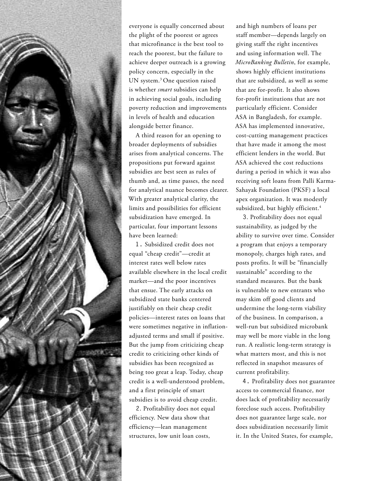

everyone is equally concerned about the plight of the poorest or agrees that microfinance is the best tool to reach the poorest, but the failure to achieve deeper outreach is a growing policy concern, especially in the UN system.3 One question raised is whether *smart* subsidies can help in achieving social goals, including poverty reduction and improvements in levels of health and education alongside better finance.

A third reason for an opening to broader deployments of subsidies arises from analytical concerns. The propositions put forward against subsidies are best seen as rules of thumb and, as time passes, the need for analytical nuance becomes clearer. With greater analytical clarity, the limits and possibilities for efficient subsidization have emerged. In particular, four important lessons have been learned:

**1.** Subsidized credit does not equal "cheap credit"—credit at interest rates well below rates available elsewhere in the local credit market—and the poor incentives that ensue. The early attacks on subsidized state banks centered justifiably on their cheap credit policies—interest rates on loans that were sometimes negative in inflationadjusted terms and small if positive. But the jump from criticizing cheap credit to criticizing other kinds of subsidies has been recognized as being too great a leap. Today, cheap credit is a well-understood problem, and a first principle of smart subsidies is to avoid cheap credit.

**2**. Profitability does not equal efficiency. New data show that efficiency—lean management structures, low unit loan costs,

and high numbers of loans per staff member—depends largely on giving staff the right incentives and using information well. The *MicroBanking Bulletin*, for example, shows highly efficient institutions that are subsidized, as well as some that are for-profit. It also shows for-profit institutions that are not particularly efficient. Consider ASA in Bangladesh, for example. ASA has implemented innovative, cost-cutting management practices that have made it among the most efficient lenders in the world. But ASA achieved the cost reductions during a period in which it was also receiving soft loans from Palli Karma-Sahayak Foundation (PKSF) a local apex organization. It was modestly subsidized, but highly efficient.<sup>4</sup>

**3**. Profitability does not equal sustainability, as judged by the ability to survive over time. Consider a program that enjoys a temporary monopoly, charges high rates, and posts profits. It will be "financially sustainable" according to the standard measures. But the bank is vulnerable to new entrants who may skim off good clients and undermine the long-term viability of the business. In comparison, a well-run but subsidized microbank may well be more viable in the long run. A realistic long-term strategy is what matters most, and this is not reflected in snapshot measures of current profitability.

**4.** Profitability does not guarantee access to commercial finance, nor does lack of profitability necessarily foreclose such access. Profitability does not guarantee large scale, nor does subsidization necessarily limit it. In the United States, for example,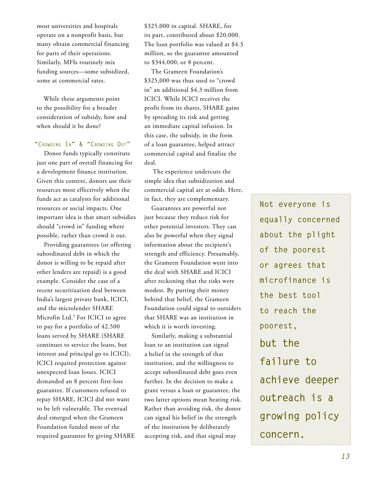most universities and hospitals operate on a nonprofit basis, but many obtain commercial financing for parts of their operations. Similarly, MFIs routinely mix funding sources—some subsidized, some at commercial rates.

While these arguments point to the possibility for a broader consideration of subsidy, how and when should it be done?

## **"Crowding In" & "Crowding Out"**

Donor funds typically constitute just one part of overall financing for a development finance institution. Given this context, donors use their resources most effectively when the funds act as catalysts for additional resources or social impacts. One important idea is that smart subsidies should "crowd in" funding where possible, rather than crowd it out.

Providing guarantees (or offering subordinated debt in which the donor is willing to be repaid after other lenders are repaid) is a good example. Consider the case of a recent securitization deal between India's largest private bank, ICICI, and the microlender SHARE Microfin Ltd.<sup>5</sup> For ICICI to agree to pay for a portfolio of 42,500 loans served by SHARE (SHARE continues to service the loans, but interest and principal go to ICICI), ICICI required protection against unexpected loan losses. ICICI demanded an 8 percent first-loss guarantee. If customers refused to repay SHARE, ICICI did not want to be left vulnerable. The eventual deal emerged when the Grameen Foundation funded most of the required guarantee by giving SHARE \$325,000 in capital. SHARE, for its part, contributed about \$20,000. The loan portfolio was valued at \$4.3 million, so the guarantee amounted to \$344,000, or 8 percent.

The Grameen Foundation's \$325,000 was thus used to "crowd in" an additional \$4.3 million from ICICI. While ICICI receives the profit from its shares, SHARE gains by spreading its risk and getting an immediate capital infusion. In this case, the subsidy, in the form of a loan guarantee, helped attract commercial capital and finalize the deal.

The experience undercuts the simple idea that subsidization and commercial capital are at odds. Here, in fact, they are complementary.

Guarantees are powerful not just because they reduce risk for other potential investors. They can also be powerful when they signal information about the recipient's strength and efficiency. Presumably, the Grameen Foundation went into the deal with SHARE and ICICI after reckoning that the risks were modest. By putting their money behind that belief, the Grameen Foundation could signal to outsiders that SHARE was an institution in which it is worth investing.

Similarly, making a substantial loan to an institution can signal a belief in the strength of that institution, and the willingness to accept subordinated debt goes even further. In the decision to make a grant versus a loan or guarantee, the two latter options mean beating risk. Rather than avoiding risk, the donor can signal his belief in the strength of the institution by deliberately accepting risk, and that signal may

**Not everyone is equally concerned about the plight of the poorest or agrees that microfinance is the best tool to reach the poorest, but the failure to achieve deeper outreach is a growing policy concern.**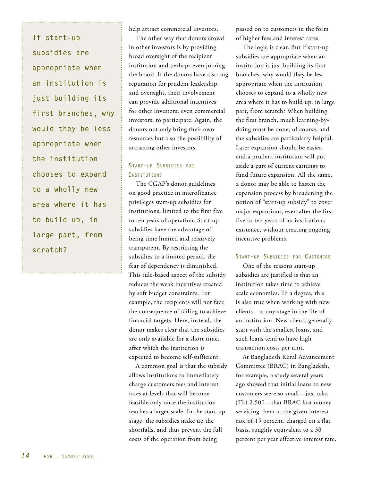**If start-up subsidies are appropriate when an institution is just building its first branches, why would they be less appropriate when the institution chooses to expand to a wholly new area where it has to build up, in large part, from scratch?** 

help attract commercial investors.

The other way that donors crowd in other investors is by providing broad oversight of the recipient institution and perhaps even joining the board. If the donors have a strong reputation for prudent leadership and oversight, their involvement can provide additional incentives for other investors, even commercial investors, to participate. Again, the donors not only bring their own resources but also the possibility of attracting other investors.

# **Start-up Subsidies for Institutions**

The CGAP's donor guidelines on good practice in microfinance privileges start-up subsidies for institutions, limited to the first five to ten years of operation. Start-up subsidies have the advantage of being time limited and relatively transparent. By restricting the subsidies to a limited period, the fear of dependency is diminished. This rule-based aspect of the subsidy reduces the weak incentives created by soft budget constraints. For example, the recipients will not face the consequence of failing to achieve financial targets. Here, instead, the donor makes clear that the subsidies are only available for a short time, after which the institution is expected to become self-sufficient.

A common goal is that the subsidy allows institutions to immediately charge customers fees and interest rates at levels that will become feasible only once the institution reaches a larger scale. In the start-up stage, the subsidies make up the shortfalls, and thus prevent the full costs of the operation from being

passed on to customers in the form of higher fees and interest rates.

The logic is clear. But if start-up subsidies are appropriate when an institution is just building its first branches, why would they be less appropriate when the institution chooses to expand to a wholly new area where it has to build up, in large part, from scratch? When building the first branch, much learning-bydoing must be done, of course, and the subsidies are particularly helpful. Later expansion should be easier, and a prudent institution will put aside a part of current earnings to fund future expansion. All the same, a donor may be able to hasten the expansion process by broadening the notion of "start-up subsidy" to cover major expansions, even after the first five to ten years of an institution's existence, without creating ongoing incentive problems.

## **Start-up Subsidies for Customers**

One of the reasons start-up subsidies are justified is that an institution takes time to achieve scale economies. To a degree, this is also true when working with new clients—at any stage in the life of an institution. New clients generally start with the smallest loans, and such loans tend to have high transaction costs per unit.

At Bangladesh Rural Advancement Committee (BRAC) in Bangladesh, for example, a study several years ago showed that initial loans to new customers were so small—just taka (Tk) 2,500—that BRAC lost money servicing them at the given interest rate of 15 percent, charged on a flat basis, roughly equivalent to a 30 percent per year effective interest rate.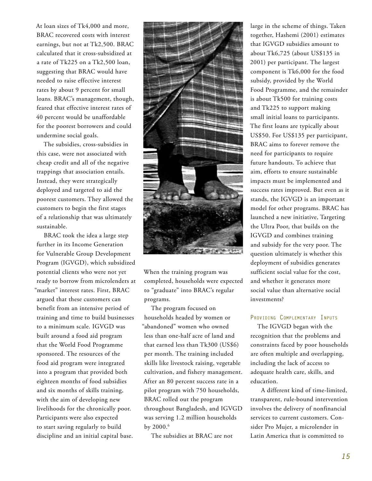At loan sizes of Tk4,000 and more, BRAC recovered costs with interest earnings, but not at Tk2,500. BRAC calculated that it cross-subsidized at a rate of Tk225 on a Tk2,500 loan, suggesting that BRAC would have needed to raise effective interest rates by about 9 percent for small loans. BRAC's management, though, feared that effective interest rates of 40 percent would be unaffordable for the poorest borrowers and could undermine social goals.

The subsidies, cross-subsidies in this case, were not associated with cheap credit and all of the negative trappings that association entails. Instead, they were strategically deployed and targeted to aid the poorest customers. They allowed the customers to begin the first stages of a relationship that was ultimately sustainable.

BRAC took the idea a large step further in its Income Generation for Vulnerable Group Development Program (IGVGD), which subsidized potential clients who were not yet ready to borrow from microlenders at "market" interest rates. First, BRAC argued that these customers can benefit from an intensive period of training and time to build businesses to a minimum scale. IGVGD was built around a food aid program that the World Food Programme sponsored. The resources of the food aid program were integrated into a program that provided both eighteen months of food subsidies and six months of skills training, with the aim of developing new livelihoods for the chronically poor. Participants were also expected to start saving regularly to build discipline and an initial capital base.



When the training program was completed, households were expected to "graduate" into BRAC's regular programs.

The program focused on households headed by women or "abandoned" women who owned less than one-half acre of land and that earned less than Tk300 (US\$6) per month. The training included skills like livestock raising, vegetable cultivation, and fishery management. After an 80 percent success rate in a pilot program with 750 households, BRAC rolled out the program throughout Bangladesh, and IGVGD was serving 1.2 million households by 2000.<sup>6</sup>

The subsidies at BRAC are not

large in the scheme of things. Taken together, Hashemi (2001) estimates that IGVGD subsidies amount to about Tk6,725 (about US\$135 in 2001) per participant. The largest component is Tk6,000 for the food subsidy, provided by the World Food Programme, and the remainder is about Tk500 for training costs and Tk225 to support making small initial loans to participants. The first loans are typically about US\$50. For US\$135 per participant, BRAC aims to forever remove the need for participants to require future handouts. To achieve that aim, efforts to ensure sustainable impacts must be implemented and success rates improved. But even as it stands, the IGVGD is an important model for other programs. BRAC has launched a new initiative, Targeting the Ultra Poor, that builds on the IGVGD and combines training and subsidy for the very poor. The question ultimately is whether this deployment of subsidies generates sufficient social value for the cost, and whether it generates more social value than alternative social investments?

## **Providing Complementary Inputs**

The IGVGD began with the recognition that the problems and constraints faced by poor households are often multiple and overlapping, including the lack of access to adequate health care, skills, and education.

 A different kind of time-limited, transparent, rule-bound intervention involves the delivery of nonfinancial services to current customers. Consider Pro Mujer, a microlender in Latin America that is committed to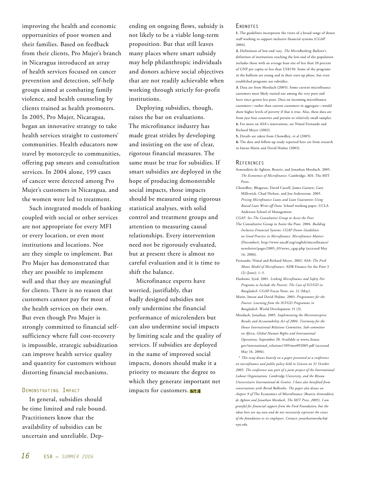improving the health and economic opportunities of poor women and their families. Based on feedback from their clients, Pro Mujer's branch in Nicaragua introduced an array of health services focused on cancer prevention and detection, self-help groups aimed at combating family violence, and health counseling by clients trained as health promoters. In 2005, Pro Mujer, Nicaragua, began an innovative strategy to take health services straight to customers' communities. Health educators now travel by motorcycle to communities, offering pap smears and consultation services. In 2004 alone, 199 cases of cancer were detected among Pro Mujer's customers in Nicaragua, and the women were led to treatment.

Such integrated models of banking coupled with social or other services are not appropriate for every MFI or every location, or even most institutions and locations. Nor are they simple to implement. But Pro Mujer has demonstrated that they are possible to implement well and that they are meaningful for clients. There is no reason that customers cannot pay for most of the health services on their own. But even though Pro Mujer is strongly committed to financial selfsufficiency where full cost-recovery is impossible, strategic subsidization can improve health service quality and quantity for customers without distorting financial mechanisms.

#### **Demonstrating Impact**

In general, subsidies should be time limited and rule bound. Practitioners know that the availability of subsidies can be uncertain and unreliable. Dep-

ending on ongoing flows, subsidy is not likely to be a viable long-term proposition. But that still leaves many places where smart subsidy may help philanthropic individuals and donors achieve social objectives that are not readily achievable when working through strictly for-profit institutions.

Deploying subsidies, though, raises the bar on evaluations. The microfinance industry has made great strides by developing and insisting on the use of clear, rigorous financial measures. The same must be true for subsidies. If smart subsidies are deployed in the hope of producing demonstrable social impacts, those impacts should be measured using rigorous statistical analyses, with solid control and treatment groups and attention to measuring causal relationships. Every intervention need not be rigorously evaluated, but at present there is almost no careful evaluation and it is time to shift the balance.

Microfinance experts have worried, justifiably, that badly designed subsidies not only undermine the financial performance of microlenders but can also undermine social impacts by limiting scale and the quality of services. If subsidies are deployed in the name of improved social impacts, donors should make it a priority to measure the degree to which they generate important net impacts for customers.

#### **Endnotes**

**1.** The guidelines incorporate the views of a broad range of donor staff working to support inclusive financial systems (CGAP 2004).

**2.** Definitions of low-end vary. *The MicroBanking Bulletin*'s definition of institutions reaching the low-end of the population includes those with an average loan size of less than 20 percent of GNP per capita or less than US\$150. Some of the programs in the bulletin are young and in their start-up phase, but even established programs use subsidies.

**3.** Data are from Morduch (2005). Some current microfinance customers most likely started out among the very poor and have since grown less poor. Data on incoming microfinance customers—rather than current customers in aggregate—would show higher levels of poverty if that is true. Also, these data are from just four countries and pertain to relatively small samples. **4.** For more on ASA's innovations, see Nimal Fernando and Richard Meyer (2002).

**5.** Details are taken from Chowdhry, et al (2005).

**6.** The data and follow-up study reported here are from research in Imran Matin and David Hulme (2003).

#### **References**

- Armendáriz de Aghion, Beatriz, and Jonathan Morduch. 2005. *The Economics of Microfinance*. Cambridge, MA: The MIT Press.
- Chowdhry, Bhagwan, David Cassell, James Garnett, Gary Millcwick, Chad Nielsen, and Jon Sederstrom. 2005. *Pricing Microfinance Loans and Loan Guarantees Using Biased Loan Write-off Data*. School working paper, UCLA Anderson School of Management.
- *CGAP. See The Consultative Group to Assist the Poor.*
- The Consultative Group to Assist the Poor. 2004. *Building Inclusive Financial Systems: CGAP Donor Guidelines on Good Practice in Microfinance. Microfinance Matters*  (December), http://www.uncdf.org/english/microfinance/ newsletter/pages/2005\_03/news\_cgap.php (accessed May 16, 2006).
- Fernando, Nimal and Richard Meyer. 2002. ASA: *The Ford Motor Model of Microfinance.* ADB Finance for the Poor 3 (2) (June): 1–3.
- Hashemi, Syed. 2001. *Linking Microfinance and Safety Net Programs to Include the Poorest: The Case of IGVGD in Bangladesh*. CGAP Focus Note, no. 21 (May).
- Matin, Imran and David Hulme. 2003. *Programmes for the Poorest: Learning from the IGVGD Programme in Bangladesh*. World Development 31 (3).
- Morduch, Jonathan. 2005. *Implementing the Microenterprise Results and Accountability Act of 2004. Testimony for the House International Relations Committee, Sub-committee on Africa, Global Human Rights and International Operations*, September 20. Available at wwwc.house. gov/international\_relations/109/mor092005.pdf (accessed May 16, 2006).

\* *This essay draws heavily on a paper presented at a conference on microfinance and public policy held in Geneva on 31 October 2005. The conference was part of a joint project of the International Labour Organization, Cambridge University, and the Réseau Universitaire International de Genève. I have also benefited from conversations with Bernd Balkenho. The paper also draws on chapter 9 of* The Economics of Microfinance *(Beatriz Armendáriz de Aghion and Jonathan Morduch, The MIT Press, 2005). I am grateful for financial support from the Ford Foundation, but the ideas here are my own and do not necessarily represent the views of the foundation or its employees. Contact: jonathanmorduch@ nyu.edu.*